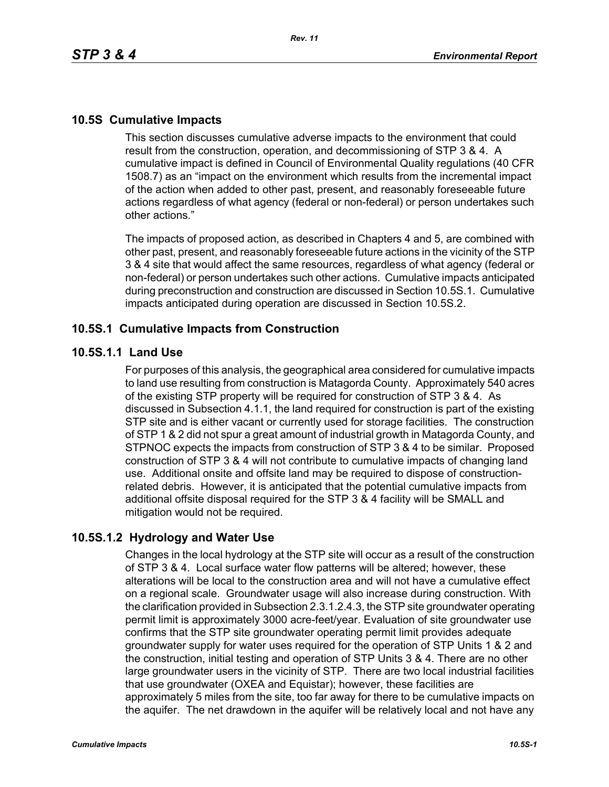## **10.5S Cumulative Impacts**

This section discusses cumulative adverse impacts to the environment that could result from the construction, operation, and decommissioning of STP 3 & 4. A cumulative impact is defined in Council of Environmental Quality regulations (40 CFR 1508.7) as an "impact on the environment which results from the incremental impact of the action when added to other past, present, and reasonably foreseeable future actions regardless of what agency (federal or non-federal) or person undertakes such other actions."

The impacts of proposed action, as described in Chapters 4 and 5, are combined with other past, present, and reasonably foreseeable future actions in the vicinity of the STP 3 & 4 site that would affect the same resources, regardless of what agency (federal or non-federal) or person undertakes such other actions. Cumulative impacts anticipated during preconstruction and construction are discussed in Section 10.5S.1. Cumulative impacts anticipated during operation are discussed in Section 10.5S.2.

### **10.5S.1 Cumulative Impacts from Construction**

#### **10.5S.1.1 Land Use**

For purposes of this analysis, the geographical area considered for cumulative impacts to land use resulting from construction is Matagorda County. Approximately 540 acres of the existing STP property will be required for construction of STP 3 & 4. As discussed in Subsection 4.1.1, the land required for construction is part of the existing STP site and is either vacant or currently used for storage facilities. The construction of STP 1 & 2 did not spur a great amount of industrial growth in Matagorda County, and STPNOC expects the impacts from construction of STP 3 & 4 to be similar. Proposed construction of STP 3 & 4 will not contribute to cumulative impacts of changing land use. Additional onsite and offsite land may be required to dispose of constructionrelated debris. However, it is anticipated that the potential cumulative impacts from additional offsite disposal required for the STP 3 & 4 facility will be SMALL and mitigation would not be required.

## **10.5S.1.2 Hydrology and Water Use**

Changes in the local hydrology at the STP site will occur as a result of the construction of STP 3 & 4. Local surface water flow patterns will be altered; however, these alterations will be local to the construction area and will not have a cumulative effect on a regional scale. Groundwater usage will also increase during construction. With the clarification provided in Subsection 2.3.1.2.4.3, the STP site groundwater operating permit limit is approximately 3000 acre-feet/year. Evaluation of site groundwater use confirms that the STP site groundwater operating permit limit provides adequate groundwater supply for water uses required for the operation of STP Units 1 & 2 and the construction, initial testing and operation of STP Units 3 & 4. There are no other large groundwater users in the vicinity of STP. There are two local industrial facilities that use groundwater (OXEA and Equistar); however, these facilities are approximately 5 miles from the site, too far away for there to be cumulative impacts on the aquifer. The net drawdown in the aquifer will be relatively local and not have any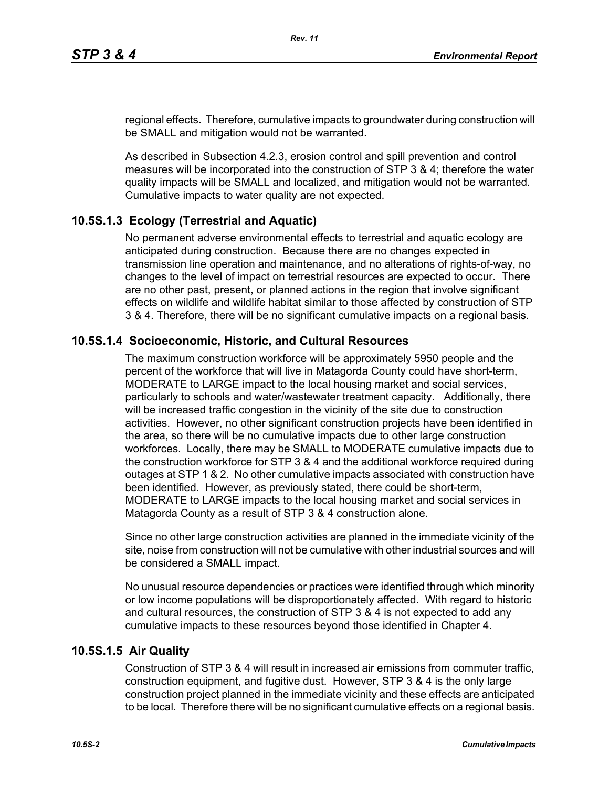regional effects. Therefore, cumulative impacts to groundwater during construction will be SMALL and mitigation would not be warranted.

As described in Subsection 4.2.3, erosion control and spill prevention and control measures will be incorporated into the construction of STP 3 & 4; therefore the water quality impacts will be SMALL and localized, and mitigation would not be warranted. Cumulative impacts to water quality are not expected.

# **10.5S.1.3 Ecology (Terrestrial and Aquatic)**

No permanent adverse environmental effects to terrestrial and aquatic ecology are anticipated during construction. Because there are no changes expected in transmission line operation and maintenance, and no alterations of rights-of-way, no changes to the level of impact on terrestrial resources are expected to occur. There are no other past, present, or planned actions in the region that involve significant effects on wildlife and wildlife habitat similar to those affected by construction of STP 3 & 4. Therefore, there will be no significant cumulative impacts on a regional basis.

## **10.5S.1.4 Socioeconomic, Historic, and Cultural Resources**

The maximum construction workforce will be approximately 5950 people and the percent of the workforce that will live in Matagorda County could have short-term, MODERATE to LARGE impact to the local housing market and social services, particularly to schools and water/wastewater treatment capacity. Additionally, there will be increased traffic congestion in the vicinity of the site due to construction activities. However, no other significant construction projects have been identified in the area, so there will be no cumulative impacts due to other large construction workforces. Locally, there may be SMALL to MODERATE cumulative impacts due to the construction workforce for STP 3 & 4 and the additional workforce required during outages at STP 1 & 2. No other cumulative impacts associated with construction have been identified. However, as previously stated, there could be short-term, MODERATE to LARGE impacts to the local housing market and social services in Matagorda County as a result of STP 3 & 4 construction alone.

Since no other large construction activities are planned in the immediate vicinity of the site, noise from construction will not be cumulative with other industrial sources and will be considered a SMALL impact.

No unusual resource dependencies or practices were identified through which minority or low income populations will be disproportionately affected. With regard to historic and cultural resources, the construction of STP 3 & 4 is not expected to add any cumulative impacts to these resources beyond those identified in Chapter 4.

## **10.5S.1.5 Air Quality**

Construction of STP 3 & 4 will result in increased air emissions from commuter traffic, construction equipment, and fugitive dust. However, STP 3 & 4 is the only large construction project planned in the immediate vicinity and these effects are anticipated to be local. Therefore there will be no significant cumulative effects on a regional basis.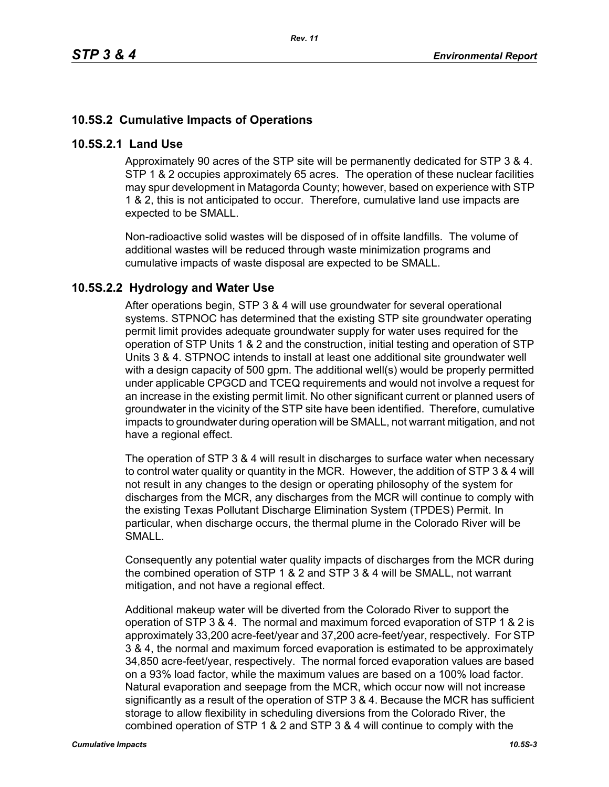# **10.5S.2 Cumulative Impacts of Operations**

#### **10.5S.2.1 Land Use**

Approximately 90 acres of the STP site will be permanently dedicated for STP 3 & 4. STP 1 & 2 occupies approximately 65 acres. The operation of these nuclear facilities may spur development in Matagorda County; however, based on experience with STP 1 & 2, this is not anticipated to occur. Therefore, cumulative land use impacts are expected to be SMALL.

Non-radioactive solid wastes will be disposed of in offsite landfills. The volume of additional wastes will be reduced through waste minimization programs and cumulative impacts of waste disposal are expected to be SMALL.

## **10.5S.2.2 Hydrology and Water Use**

After operations begin, STP 3 & 4 will use groundwater for several operational systems. STPNOC has determined that the existing STP site groundwater operating permit limit provides adequate groundwater supply for water uses required for the operation of STP Units 1 & 2 and the construction, initial testing and operation of STP Units 3 & 4. STPNOC intends to install at least one additional site groundwater well with a design capacity of 500 gpm. The additional well(s) would be properly permitted under applicable CPGCD and TCEQ requirements and would not involve a request for an increase in the existing permit limit. No other significant current or planned users of groundwater in the vicinity of the STP site have been identified. Therefore, cumulative impacts to groundwater during operation will be SMALL, not warrant mitigation, and not have a regional effect.

The operation of STP 3 & 4 will result in discharges to surface water when necessary to control water quality or quantity in the MCR. However, the addition of STP 3 & 4 will not result in any changes to the design or operating philosophy of the system for discharges from the MCR, any discharges from the MCR will continue to comply with the existing Texas Pollutant Discharge Elimination System (TPDES) Permit. In particular, when discharge occurs, the thermal plume in the Colorado River will be SMALL.

Consequently any potential water quality impacts of discharges from the MCR during the combined operation of STP 1 & 2 and STP 3 & 4 will be SMALL, not warrant mitigation, and not have a regional effect.

Additional makeup water will be diverted from the Colorado River to support the operation of STP 3 & 4. The normal and maximum forced evaporation of STP 1 & 2 is approximately 33,200 acre-feet/year and 37,200 acre-feet/year, respectively. For STP 3 & 4, the normal and maximum forced evaporation is estimated to be approximately 34,850 acre-feet/year, respectively. The normal forced evaporation values are based on a 93% load factor, while the maximum values are based on a 100% load factor. Natural evaporation and seepage from the MCR, which occur now will not increase significantly as a result of the operation of STP 3 & 4. Because the MCR has sufficient storage to allow flexibility in scheduling diversions from the Colorado River, the combined operation of STP 1 & 2 and STP 3 & 4 will continue to comply with the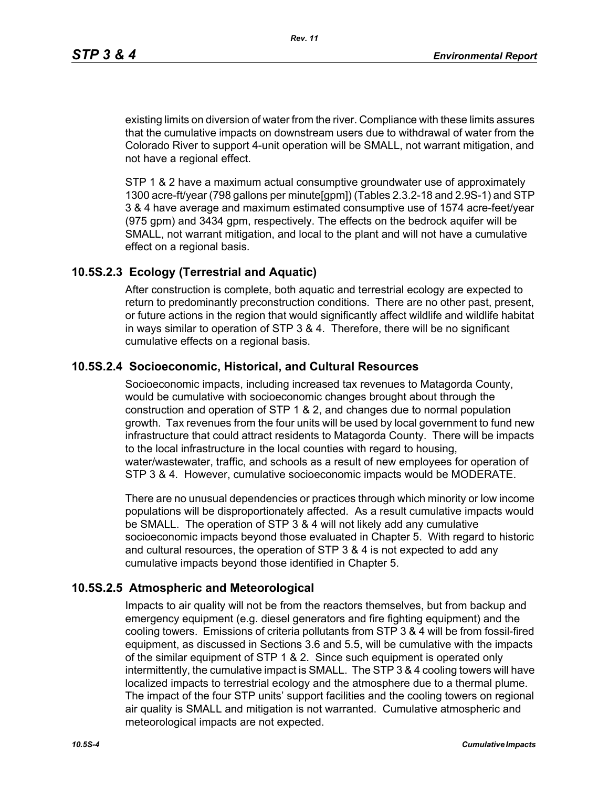existing limits on diversion of water from the river. Compliance with these limits assures that the cumulative impacts on downstream users due to withdrawal of water from the Colorado River to support 4-unit operation will be SMALL, not warrant mitigation, and not have a regional effect.

STP 1 & 2 have a maximum actual consumptive groundwater use of approximately 1300 acre-ft/year (798 gallons per minute[gpm]) (Tables 2.3.2-18 and 2.9S-1) and STP 3 & 4 have average and maximum estimated consumptive use of 1574 acre-feet/year (975 gpm) and 3434 gpm, respectively. The effects on the bedrock aquifer will be SMALL, not warrant mitigation, and local to the plant and will not have a cumulative effect on a regional basis.

### **10.5S.2.3 Ecology (Terrestrial and Aquatic)**

After construction is complete, both aquatic and terrestrial ecology are expected to return to predominantly preconstruction conditions. There are no other past, present, or future actions in the region that would significantly affect wildlife and wildlife habitat in ways similar to operation of STP 3 & 4. Therefore, there will be no significant cumulative effects on a regional basis.

## **10.5S.2.4 Socioeconomic, Historical, and Cultural Resources**

Socioeconomic impacts, including increased tax revenues to Matagorda County, would be cumulative with socioeconomic changes brought about through the construction and operation of STP 1 & 2, and changes due to normal population growth. Tax revenues from the four units will be used by local government to fund new infrastructure that could attract residents to Matagorda County. There will be impacts to the local infrastructure in the local counties with regard to housing, water/wastewater, traffic, and schools as a result of new employees for operation of STP 3 & 4. However, cumulative socioeconomic impacts would be MODERATE.

There are no unusual dependencies or practices through which minority or low income populations will be disproportionately affected. As a result cumulative impacts would be SMALL. The operation of STP 3 & 4 will not likely add any cumulative socioeconomic impacts beyond those evaluated in Chapter 5. With regard to historic and cultural resources, the operation of STP 3 & 4 is not expected to add any cumulative impacts beyond those identified in Chapter 5.

#### **10.5S.2.5 Atmospheric and Meteorological**

Impacts to air quality will not be from the reactors themselves, but from backup and emergency equipment (e.g. diesel generators and fire fighting equipment) and the cooling towers. Emissions of criteria pollutants from STP 3 & 4 will be from fossil-fired equipment, as discussed in Sections 3.6 and 5.5, will be cumulative with the impacts of the similar equipment of STP 1 & 2. Since such equipment is operated only intermittently, the cumulative impact is SMALL. The STP 3 & 4 cooling towers will have localized impacts to terrestrial ecology and the atmosphere due to a thermal plume. The impact of the four STP units' support facilities and the cooling towers on regional air quality is SMALL and mitigation is not warranted. Cumulative atmospheric and meteorological impacts are not expected.